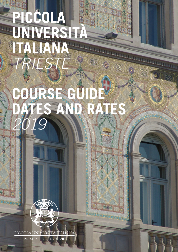# **PICCOLA UNIVERSITÀ ITALIANA** *TRIESTE* **COURSE GUIDE DATES AND RATES** *2019*

PICCOLA UNIVERSITÀ ITALIANA PER STRANIERI - LE VENEZIE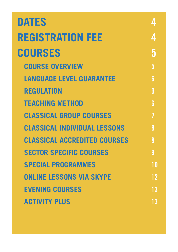| <b>DATES</b>                        |    |
|-------------------------------------|----|
| <b>REGISTRATION FEE</b>             | 4  |
| <b>COURSES</b>                      | 5  |
| <b>COURSE OVERVIEW</b>              | 5  |
| <b>LANGUAGE LEVEL GUARANTEE</b>     | հ  |
| <b>REGULATION</b>                   | 6  |
| <b>TEACHING METHOD</b>              | 6  |
| <b>CLASSICAL GROUP COURSES</b>      |    |
| <b>CLASSICAL INDIVIDUAL LESSONS</b> | 8  |
| <b>CLASSICAL ACCREDITED COURSES</b> | 8  |
| <b>SECTOR SPECIFIC COURSES</b>      | 9  |
| <b>SPECIAL PROGRAMMES</b>           | 10 |
| <b>ONLINE LESSONS VIA SKYPE</b>     | 12 |
| <b>EVENING COURSES</b>              | 13 |
| <b>ACTIVITY PLUS</b>                | 13 |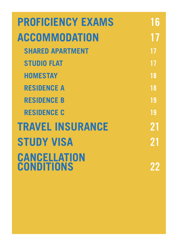| <b>PROFICIENCY EXAMS</b>          | 6  |
|-----------------------------------|----|
| <b>ACCOMMODATION</b>              |    |
| <b>SHARED APARTMENT</b>           | 17 |
| <b>STUDIO FLAT</b>                | 17 |
| <b>HOMESTAY</b>                   | 18 |
| <b>RESIDENCE A</b>                | 18 |
| <b>RESIDENCE B</b>                | 19 |
| <b>RESIDENCE C</b>                | 19 |
| <b>TRAVEL INSURANCE</b>           | 21 |
| <b>STUDY VISA</b>                 | 21 |
| CANCELLATION<br><b>CONDITIONS</b> |    |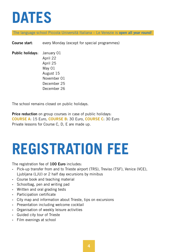# **DATES**

The language school Piccola Università Italiana – Le Venezie is open all year round!

**Course start:** every Monday (except for special programmes)

Public holidays: January 01 April 22 April 25 May 01 August 15 November 01 December 25 December 26

The school remains closed on public holidays.

Price reduction on group courses in case of public holidays: COURSE A: 15 Euro, COURSE B: 30 Euro, COURSE C: 30 Euro Private lessons for Course C, D, E are made up.

# **REGISTRATION FEE**

The registration fee of 100 Euro includes:

- ‐ Pick-up transfer from and to Trieste airport (TRS), Treviso (TSF), Venice (VCE), Ljubljana (LJU) or 2 half day excursions by minibus
- ‐ Course book and teaching material
- ‐ Schoolbag, pen and writing pad
- ‐ Written and oral grading tests
- ‐ Participation certificate
- ‐ City map and information about Trieste, tips on excursions
- ‐ Presentation including welcome cocktail
- ‐ Organisation of weekly leisure activities
- ‐ Guided city tour of Trieste
- ‐ Film evenings at school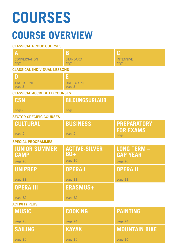# **COURSES**

## **COURSE OVERVIEW**

#### CLASSICAL GROUP COURSES

| A<br><b>CONVERSATION</b><br>page 7  | B<br><b>STANDARD</b><br>page 7 | C<br><b>INTENSIVE</b><br>page 7       |
|-------------------------------------|--------------------------------|---------------------------------------|
| <b>CLASSICAL INDIVIDUAL LESSONS</b> |                                |                                       |
| D                                   | Е                              |                                       |
| TWO-TO-ONE<br>page 8                | <b>ONE-TO-ONE</b><br>page 8    |                                       |
| <b>CLASSICAL ACCREDITED COURSES</b> |                                |                                       |
| <b>CSN</b>                          | <b>BILDUNGSURLAUB</b>          |                                       |
| page 8                              | page 9                         |                                       |
| <b>SECTOR SPECIFIC COURSES</b>      |                                |                                       |
| <b>CULTURAL</b>                     | <b>BUSINESS</b>                | <b>PREPARATORY</b>                    |
| page 9                              | page 9                         | <b>FOR EXAMS</b><br>page 9            |
| <b>SPECIAL PROGRAMMES</b>           |                                |                                       |
| <b>JUNIOR SUMMER</b><br><b>CAMP</b> | <b>ACTIVE-SILVER</b><br>60+    | <b>LONG TERM -</b><br><b>GAP YEAR</b> |
| page 10                             | page 10                        | page 10                               |
| <b>UNIPREP</b>                      | <b>OPERAI</b>                  | <b>OPERA II</b>                       |
| page 11                             | page 11                        | page 11                               |
| <b>OPERA III</b>                    | <b>ERASMUS+</b>                |                                       |
| page 12                             | page 12                        |                                       |
| <b>ACTIVITY PLUS</b>                |                                |                                       |
| <b>MUSIC</b>                        | <b>COOKING</b>                 | <b>PAINTING</b>                       |
| page 13                             | page 14                        | page 14                               |
| <b>SAILING</b>                      | <b>KAYAK</b>                   | <b>MOUNTAIN BIKE</b>                  |
| page 15                             | page 15                        | page 16                               |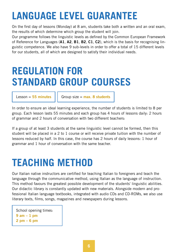## **LANGUAGE LEVEL GUARANTEE**

On the first day of lessons (Monday) at 8 am, students take both a written and an oral exam, the results of which determine which group the student will join.

Our programme follows the linguistic levels as defined by the Common European Framework of Reference for Languages (A1, A2, B1, B2, C1, C2), which is the basis for recognising linguistic competence. We also have 9 sub-levels in order to offer a total of 15 different levels for our students, all of which are designed to satisfy their individual needs.

### **REGULATION FOR STANDARD GROUP COURSES**

Lesson = 55 minutes  $||$  Group size = max. 8 students

In order to ensure an ideal learning experience, the number of students is limited to 8 per group. Each lesson lasts 55 minutes and each group has 4 hours of lessons daily: 2 hours of grammar and 2 hours of conversation with two different teachers:

If a group of at least 3 students at the same linguistic level cannot be formed, then this student will be placed in a 2 to 1 course or will receive private tuition with the number of lessons reduced by half. In this case, the course has 2 hours of daily lessons: 1 hour of grammar and 1 hour of conversation with the same teacher.

### **TEACHING METHOD**

Our Italian native instructors are certified for teaching Italian to foreigners and teach the language through the communicative method, using Italian as the language of instruction. This method favours the greatest possible development of the students' linguistic abilities. Our didactic library is constantly updated with new materials. Alongside modern and professional Italian language textbooks, integrated with audio CDs and CD-ROMs, we also use literary texts, films, songs, magazines and newspapers during lessons.

School opening times: 9 am – 1 pm 2 pm – 6 pm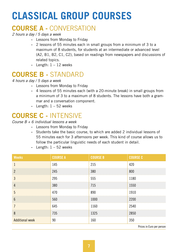## **CLASSICAL GROUP COURSES**

### COURSE A - CONVERSATION

*2 hours a day / 5 days a week*

- ‐ Lessons from Monday to Friday
- ‐ 2 lessons of 55 minutes each in small groups from a minimum of 3 to a maximum of 8 students, for students at an intermediate or advanced level (A2, B1, B2, C1, C2), based on readings from newspapers and discussions of related topics.
- Length:  $1 12$  weeks

### COURSE B - STANDARD

*4 hours a day / 5 days a week*

- ‐ Lessons from Monday to Friday
- ‐ 4 lessons of 55 minutes each (with a 20-minute break) in small groups from a minimum of 3 to a maximum of 8 students. The lessons have both a grammar and a conversation component.
- Length:  $1 52$  weeks

### COURSE C - INTENSIVE

#### *Course B + 6 individual lessons a week*

- ‐ Lessons from Monday to Friday
- ‐ Students take the basic course, to which are added 2 individual lessons of 55 minutes each for 3 afternoons per week. This kind of course allows us to follow the particular linguistic needs of each student in detail.
- Length:  $1 52$  weeks

| <b>Weeks</b>           | <b>COURSE A</b> | <b>COURSE B</b> | <b>COURSE C</b> |
|------------------------|-----------------|-----------------|-----------------|
| $\mathbf{1}$           | 145             | 215             | 420             |
| $\overline{2}$         | 245             | 380             | 800             |
| $\mathbf{3}$           | 295             | 555             | 1180            |
| $\overline{4}$         | 380             | 715             | 1550            |
| 5                      | 470             | 890             | 1910            |
| $6\overline{6}$        | 560             | 1000            | 2200            |
| $\overline{7}$         | 645             | 1160            | 2540            |
| 8                      | 735             | 1325            | 2850            |
| <b>Additional week</b> | 90              | 160             | 350             |
|                        |                 |                 | .               |

Prices in Euro per person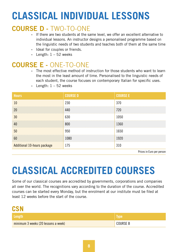## **CLASSICAL INDIVIDUAL LESSONS**

### COURSE D - TWO-TO-ONE

- ‐ If there are two students at the same level, we offer an excellent alternative to individual lessons. An instructor designs a personalised programme based on the linguistic needs of two students and teaches both of them at the same time
- ‐ Ideal for couples or friends.
- Length:  $1 52$  weeks

### COURSE E - ONE-TO-ONE

‐ The most effective method of instruction for those students who want to learn the most in the least amount of time. Personalised to the linguistic needs of each student, the course focuses on contemporary Italian for specific uses.

| <b>Hours</b>                | <b>COURSE D</b> | <b>COURSE E</b> |
|-----------------------------|-----------------|-----------------|
| 10                          | 230             | 370             |
| 20                          | 440             | 720             |
| 30                          | 630             | 1050            |
| 40                          | 800             | 1360            |
| 50                          | 950             | 1650            |
| 60                          | 1080            | 1920            |
| Additional 10-hours package | 175             | 310             |

- Length:  $1 - 52$  weeks

Prices in Euro per person

## **CLASSICAL ACCREDITED COURSES**

Some of our classical courses are accredited by governments, corporations and companies all over the world. The recognitions vary according to the duration of the course. Accredited courses can be started every Monday, but the enrolment at our institute must be filed at least 12 weeks before the start of the course.

| <b>CSN</b>                          |                 |
|-------------------------------------|-----------------|
| Length                              | <b>No. 7</b>    |
| minimum 3 weeks (20 lessons a week) | <b>COURSE B</b> |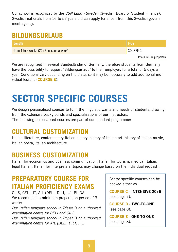Our school is recognized by the *CSN Lund - Sweden* (Swedish Board of Student Finance). Swedish nationals from 16 to 57 years old can apply for a loan from this Swedish government agency.

#### **BILDUNGSURLAUB**

| Length <sup> </sup>                       | <b>Type</b>               |
|-------------------------------------------|---------------------------|
| from 1 to 2 weeks $(20+6$ lessons a week) | COURSE C                  |
|                                           | Prices in Euro per person |

We are recognized in several Bundesländer of Germany, therefore students from Germany have the possibility to request "Bildungsurlaub" to their employer, for a total of 5 days a year. Conditions vary depending on the state, so it may be necessary to add additional individual lessons (COURSE E).

### **SECTOR SPECIFIC COURSES**

We design personalised courses to fulfil the linguistic wants and needs of students, drawing from the extensive backgrounds and specialisations of our instructors.

The following personalised courses are part of our standard programme:

#### **CULTURAL CUSTOMIZATION**

Italian literature, contemporary Italian history, history of Italian art, history of Italian music, Italian opera, Italian architecture.

### **BUSINESS CUSTOMIZATION**

Italian for economics and business communication, Italian for tourism, medical Italian, legal Italian, Italian for interpreters (topics may change based on the individual request).

### **PREPARATORY COURSE FOR ITALIAN PROFICIENCY EXAMS**

CILS, CELI, IT, AIL (DELI, DILI, …), PLIDA. We recommend a minimum preparation period of 3 weeks.

*Our Italian language school in Trieste is an authorized examination centre for CELI and CILS. Our Italian language school in Tropea is an authorized examination centre for AIL (DELI, DILI, …).*

Sector specific courses can be booked either as:

COURSE C - INTENSIVE 20+6 (see page 7).

COURSE D - TWO-TO-ONE (see page 8).

COURSE E - ONE-TO-ONE (see page 8).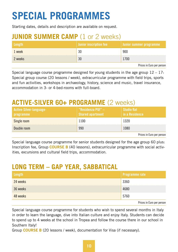## **SPECIAL PROGRAMMES**

Starting dates, details and description are available on request.

### **JUNIOR SUMMER CAMP** (1 or 2 weeks)

| <b>vengtik</b> | Junior inscription fee | I Junior summer programme, |
|----------------|------------------------|----------------------------|
| 1 week         |                        | 900                        |
| 2 weeks        |                        | 1700                       |
|                |                        | Prices in Euro per person  |

Special language course programme designed for young students in the age group  $12 - 17$ . Special group course (20 lessons / week), extracurricular programme with field trips, sports and fun activities, workshops in archaeology, history, science and music, travel insurance, accommodation in 3- or 4-bed-rooms with full-board.

### **ACTIVE-SILVER 60+ PROGRAMME** (2 weeks)

| Active-Silver-language-<br><b>programme</b> | "Residenza PUI" $-$<br>Shared apartment | <b>Studio flat</b><br>in a Residence |
|---------------------------------------------|-----------------------------------------|--------------------------------------|
| Single room                                 | 1100                                    | 1320                                 |
| Double room                                 | 990                                     | 1080                                 |
|                                             |                                         | Prices in Furo per person            |

Prices in Euro per person

Special language course programme for senior students designed for the age group 60 plus: Inscription fee, Group **COURSE B** (40 lessons), extracurricular programme with social activities, excursions and cultural field trips, accommodation.

### **LONG TERM – GAP YEAR, SABBATICAL**

|          | Programme rate |
|----------|----------------|
| 24 weeks | 3360           |
| 36 weeks | 1680           |
| 48 weeks | 5760           |

Prices in Euro per person

Special language course programme for students who wish to spend several months in Italy in order to learn the language, dive into Italian culture and enjoy Italy. Students can decide to spend up to 4 weeks at the school in Tropea and follow the course there in our school in Southern Italy!

Group **COURSE B** (20 lessons / week), documentation for Visa (if necessary).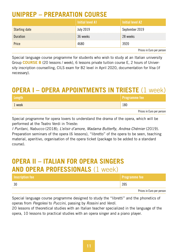### **UNIPREP – PREPARATION COURSE**

|                      | <b>Initial level A1</b> | Initial level A2                |
|----------------------|-------------------------|---------------------------------|
| <b>Starting date</b> | July 2019               | September 2019                  |
| ration               | 36 weeks                | 28 weeks                        |
| Price                |                         | २५७०                            |
|                      |                         | - -<br>$\overline{\phantom{a}}$ |

Prices in Euro per person

Special language course programme for students who wish to study at an Italian university Group COURSE B (20 lessons / week), 6 lessons private tuition course E, 2 hours of University inscription counselling, CILS exam for B2 level in April 2020, documentation for Visa (if necessary).

### **OPERA I – OPERA APPOINTMENTS IN TRIESTE** (1 week)

| Length | Programme fee             |
|--------|---------------------------|
| 1 week | 180                       |
|        | Prices in Euro per person |

Special programme for opera lovers to understand the drama of the opera, which will be performed at the Teatro Verdi in Trieste:

*I Puritani*, *Nabucco* (2018); *L'elisir d'amore*, *Madama Butterfly*, *Andrea Chémier* (2019). Preparation seminars of the opera (6 lessons), "libretto" of the opera to be seen, teaching material, aperitivo, organisation of the opera ticket (package to be added to a standard course).

### **OPERA II – ITALIAN FOR OPERA SINGERS AND OPERA PROFESSIONALS** (1 week)

| Inscription fee | <b>Programme fee</b>      |
|-----------------|---------------------------|
|                 | 395                       |
|                 | Drigge in Euro per person |

Prices in Euro per person

Special language course programme designed to study the "libretti" and the phonetics of operas from *Pergolesi* to *Puccini*, passing by *Rossini* and *Verdi.*

20 lessons of theoretical studies with an Italian teacher specialized in the language of the opera, 10 lessons to practical studies with an opera singer and a piano player.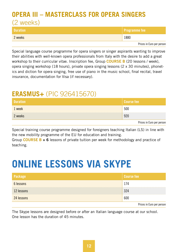#### **OPERA III – MASTERCLASS FOR OPERA SINGERS** (2 weeks)

| <b>Duration</b> | <b>Programme fee</b>      |
|-----------------|---------------------------|
| 2 weeks         | 1880                      |
|                 | Prices in Euro per person |

Special language course programme for opera singers or singer aspirants wanting to improve their abilities with well-known opera professionals from Italy with the desire to add a great workshop to their curricular vitae. Inscription fee, Group COURSE B (20 lessons / week), opera singing workshop (18 hours), private opera singing lessons (2 x 30 minutes), phonetics and diction for opera singing, free use of piano in the music school, final recital, travel insurance, documentation for Visa (if necessary).

#### **ERASMUS+** (PIC 926415670)

| . week  | 500                        |
|---------|----------------------------|
| 2 weeks | <br>921                    |
|         | Delana in Files nas nasara |

Prices in Euro per person

Special training course programme designed for foreigners teaching Italian (LS) in line with the new mobility programme of the EU for education and training.

Group **COURSE B + 6** lessons of private tuition per week for methodology and practice of teaching.

### **ONLINE LESSONS VIA SKYPE**

| Package    | e feel                    |
|------------|---------------------------|
| lessons    | 74                        |
| 12 lessons |                           |
| 24 lessons |                           |
|            | Prices in Euro per person |

The Skype lessons are designed before or after an Italian language course at our school. One lesson has the duration of 45 minutes.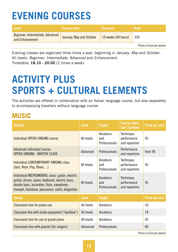## **EVENING COURSES**

| l Level'                                            | <b>Course start</b>      | <b>Duration</b>     | Rate |
|-----------------------------------------------------|--------------------------|---------------------|------|
| Beginner, Intermediate, Advanced<br>and Enhancement | January, May and October | 10 weeks (40 hours) | 350  |
|                                                     |                          |                     |      |

Prices in Euro per person

Evening classes are organized three times a year, beginning in *January*, *May* and *October*. All levels: *Beginner*, *Intermediate*, *Advanced* and *Enhancement*. Timetable: 18.10 - 20.00 (2 times a week).

## **ACTIVITY PLUS SPORTS + CULTURAL ELEMENTS**

The activities are offered in combination with an Italian language course, but also separately to accompanying travellers without language course.

#### **MUSIC**

| <b>Activity</b>                                                                                                                                                                                     | <b>Level</b> | <b>Target</b>                    | <b>Course objec-</b><br>tive / Content      | <b>Price per unit</b> |
|-----------------------------------------------------------------------------------------------------------------------------------------------------------------------------------------------------|--------------|----------------------------------|---------------------------------------------|-----------------------|
| Individual OPERA SINGING course                                                                                                                                                                     | All levels   | Amateurs<br>and<br>Professionals | Technique,<br>performance<br>and repertoire | 45                    |
| Advanced individual course:<br>OPERA SINGING - MASTER CLASS                                                                                                                                         | Advanced     | Professionals                    | Performance<br>and repertoire               | from 90               |
| Individual CONTEMPORARY SINGING class<br>(Jazz, Rock, Pop, Blues)                                                                                                                                   | All levels   | Amateurs<br>and<br>Professionals | Technique,<br>performance<br>and repertoire | 45                    |
| Individual INSTRUMENTAL class: guitar, electric<br>guitar, drums, piano, keyboard, electric bass,<br>double bass, accordion, flute, saxophone,<br>trumpet, trombone, percussion, violin, didgeridoo | All levels   | Amateurs<br>and<br>Professionals | Technique,<br>performance<br>and repertoire | 45                    |
| <b>Rental</b>                                                                                                                                                                                       | <b>Level</b> | <b>Target</b>                    |                                             | Price per unit        |
| Classroom hire for piano use                                                                                                                                                                        | All levels   | Amateurs                         |                                             | 10                    |
| Classroom hire with studio equipment ("backline")                                                                                                                                                   | All levels   | Amateurs                         |                                             | 18                    |
| Classroom hire for use of grand piano                                                                                                                                                               | All levels   | Amateurs                         |                                             | 45                    |
| Classroom hire with pianist (for singers)                                                                                                                                                           | Advanced     | Professionals                    |                                             | 80                    |

Prices in Euro per person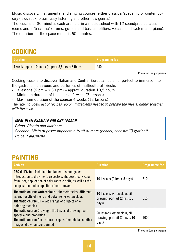Music discovery, instrumental and singing courses, either classical/academic or contemporary (jazz, rock, blues, easy listening and other new genres).

The lessons of 30 minutes each are held in a music school with 12 soundproofed classrooms and a "backline" (drums, guitars and bass amplifiers, voice sound system and piano). The duration for the space rental is 60 minutes.

#### **COOKING**

| <b>Duration</b>                                      | $\blacksquare$ Programme fee |
|------------------------------------------------------|------------------------------|
| 1 week approx. 10 hours (approx. 3,5 hrs. x 3 times) | 240                          |
|                                                      | Prices in Euro per person    |

Cooking lessons to discover Italian and Central European cuisine, perfect to immerse into the gastronomic savours and perfumes of multicultural Trieste.

- 3 lessons (6 pm  $-$  9.30 pm)  $-$  approx. duration 10.5 hours
- ‐ Minimum duration of the course: 1 week (3 lessons)

‐ Maximum duration of the course: 4 weeks (12 lessons)

The rate includes: *list of recipes, apron, ingredients needed to prepare the meals, dinner together with the cook*.

#### *MEAL PLAN EXAMPLE FOR ONE LESSON*

*Primo: Risotto alla Marinara Secondo: Misto di pesce impanato e frutti di mare (pedoci, canestrelli) gratinati Dolce: Palacinche*

#### **PAINTING**

| <b>Activity</b>                                                                                                                                                                                                                        | <b>Duration</b>                                                         | <b>Programme fee</b>      |
|----------------------------------------------------------------------------------------------------------------------------------------------------------------------------------------------------------------------------------------|-------------------------------------------------------------------------|---------------------------|
| <b>ABC dell'Arte</b> - Technical fundamentals and general<br>introduction to drawing (perspective, shadow theory, copy<br>from life), application of color (acrylic / oil), as well as the<br>composition and completion of one canvas | 10 lessons (2 hrs. x 5 days)                                            | 510                       |
| <b>Thematic course Watercolour - characteristics, differenc-</b><br>es and results of mono and polychrome watercolour.<br><b>Thematic course Oil</b> – wide range of projects on oil<br>painting technics.                             | 10 lessons watercolour, oil,<br>drawing, portrait (2 hrs. x 5<br>days)  | 510                       |
| <b>Thematic course Drawing - the basics of drawing, per-</b><br>spective and proportion.<br><b>Thematic course Portraiture</b> - copies from photos or other<br>images, drawn and/or painted                                           | 20 lessons watercolour, oil,<br>drawing, portrait (2 hrs. x 10<br>days) | 1000                      |
|                                                                                                                                                                                                                                        |                                                                         | Data a a familia a a a an |

Prices in Euro per person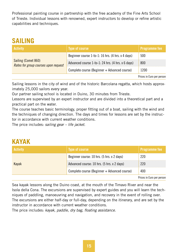Professional painting course in partnership with the free academy of the Fine Arts School of Trieste. Individual lessons with renowned, expert instructors to develop or refine artistic capabilities and techniques.

#### **SAILING**

| <b>Activity</b>                                             | <b>Type of course</b>                             | <b>Programme fee</b>      |
|-------------------------------------------------------------|---------------------------------------------------|---------------------------|
|                                                             | Beginner course 1-to-1: 16 hrs. (4 hrs. x 4 days) | 500                       |
| Sailing (Comet 860)<br>Rates for group courses upon request | Advanced course 1-to-1: 24 hrs. (4 hrs. x 6 days) | 800                       |
|                                                             | Complete course (Beginner + Advanced course)      | 1200                      |
|                                                             |                                                   | Prices in Euro per person |

Sailing lessons in the city of wind and of the historic Barcolana regatta, which hosts approximately 25,000 sailors every year.

Our partner sailing school is located in Duino, 30 minutes from Trieste.

Lessons are supervised by an expert instructor and are divided into a theoretical part and a practical part on the water.

The course teaches basic terminology, proper fitting out of a boat, sailing with the wind and the techniques of changing direction. The days and times for lessons are set by the instructor in accordance with current weather conditions.

The price includes: *sailing gear – life jacket*.

#### **KAYAK**

| <b>Metivity</b> | <b>Type of course</b>                        | <b>Programme fee</b>      |
|-----------------|----------------------------------------------|---------------------------|
|                 | Beginner course: 10 hrs. (5 hrs. x 2 days)   | 220                       |
| Kayak           | Advanced course: 10 hrs. (5 hrs. x 2 days)   | 220                       |
|                 | Complete course (Beginner + Advanced course) | 400                       |
|                 |                                              | Prices in Euro per person |

Sea kayak lessons along the Duino coast, at the mouth of the Timavo River and near the Isola della Cona. The excursions are supervised by expert guides and you will learn the techniques of paddling, manoeuvring and navigation, and recovery in the event of rolling over. The excursions are either half-day or full-day, depending on the itinerary, and are set by the instructor in accordance with current weather conditions.

The price includes: *kayak*, *paddle*, *dry bag*, *floating assistance*.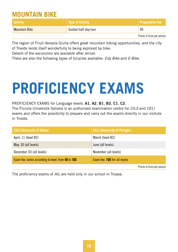#### **MOUNTAIN BIKE**

| <b>Activity</b>      | Type of Activity     | ' Programme fee           |
|----------------------|----------------------|---------------------------|
| <b>Mountain Bike</b> | Guided half-day tour | 40                        |
|                      |                      | Prices in Euro per person |

The region of Friuli-Venezia Giulia offers great mountain biking opportunities, and the city of Trieste lends itself wonderfully to being explored by bike.

Details of the excursions are available after arrival.

There are also the following types of bicycles available: *City Bike* and *E-Bike*.

# **PROFICIENCY EXAMS**

#### PROFICIENCY EXAMS for Language levels: A1, A2, B1, B2, C1, C2.

The Piccola Università Italiana is an authorized examination centre for *CILS* and *CELI* exams and offers the possibility to prepare and carry out the exams directly in our insitute in Trieste.

| <b>CILS (University of Siena)</b>                   | <b>CELI (University of Perugia)</b> |
|-----------------------------------------------------|-------------------------------------|
| April, 11 (level B2)                                | March (level B2)                    |
| May, 30 (all levels)                                | June (all levels)                   |
| December, 03 (all levels)                           | November (all levels)               |
| Exam fee: varies according to level, from 40 to 160 | Exam fee: 100 for all levels        |
|                                                     | Prices in Euro per person           |

The proficiency exams of *AIL* are held only in our school in Tropea.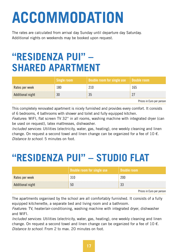# **ACCOMMODATION**

The rates are calculated from arrival day Sunday until departure day Saturday. Additional nights on weekends may be booked upon request.

### **"RESIDENZA PUI" – SHARED APARTMENT**

|                  | Single room | Double room for single use <b>\</b> | ' Double room.            |
|------------------|-------------|-------------------------------------|---------------------------|
| Rates per week   |             |                                     |                           |
| Additional night |             |                                     |                           |
|                  |             |                                     | Prices in Euro per person |

This completely renovated apartment is nicely furnished and provides every comfort. It consists of 6 bedrooms, 4 bathrooms with shower and toilet and fully equipped kitchen.

*Features*: WIFI, flat screen TV 32'' in all rooms, washing machine with integrated dryer (can be used on request), latex mattresses, dishwasher.

*Included services*: Utilities (electricity, water, gas, heating), one weekly cleaning and linen change. On request a second towel and linen change can be organized for a fee of  $10 \in$ . *Distance to school*: 5 minutes on foot.

### **"RESIDENZA PUI" – STUDIO FLAT**

|                  | Double room for single use | Double room |
|------------------|----------------------------|-------------|
| Rates per week   |                            | 200         |
| Additional night | 50                         |             |
|                  |                            | - -<br>-    |

Prices in Euro per person

The apartments organised by the school are all comfortably furnished. It consists of a fully equipped kitchenette, a separate bed and living room and a bathroom.

*Features*: TV, heater/air-conditioning, washing machine with integrated dryer, dishwasher and WIFI.

*Included services*: Utilities (electricity, water, gas, heating), one weekly cleaning and linen change. On request a second towel and linen change can be organized for a fee of  $10 \in$ . *Distance to school*: From 2 to max. 20 minutes on foot.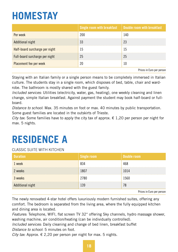## **HOMESTAY**

|                                | Single room with breakfast | <b>Double room with breakfast</b> |
|--------------------------------|----------------------------|-----------------------------------|
| Per week                       | 200                        | 140                               |
| Additional night               |                            |                                   |
| Half-board surcharge per night | Ŀh                         | ۱5                                |
| Full-board surcharge per night | 25                         | 25                                |
| Placement fee per week         |                            |                                   |
|                                |                            | Delana in Files and anders        |

Prices in Euro per person

Staying with an Italian family or a single person means to be completely immersed in Italian culture. The students stay in a single room, which disposes of bed, table, chair and wardrobe. The bathroom is mostly shared with the guest family.

*Included services*: Utilities (electricity, water, gas, heating), one weekly cleaning and linen change, simple Italian breakfast. Against payment the student may book half-board or fullboard.

*Distance to school*: Max. 35 minutes on foot or max. 40 minutes by public transportation. Some guest families are located in the outskirts of Trieste.

*City tax*: Some families have to apply the city tax of approx.  $\epsilon$  1,20 per person per night for max. 5 nights.

### **RESIDENCE A**

#### CLASSIC SUITE WITH KITCHEN

| <b>Duration</b>  | <b>Single room</b> | Double room                      |
|------------------|--------------------|----------------------------------|
| week             | 834                |                                  |
| 2 weeks          | 80.                | 1014                             |
| 3 weeks          | 2780               | 1560                             |
| Additional night | । २०               |                                  |
|                  |                    | <b>Prices in Euro per percon</b> |

Prices in Euro per person

The newly renovated 4-star hotel offers luxuriously modern furnished suites, offering any comfort. The bedroom is separated from the living area, where the fully equipped kitchen and dining area is located.

*Features*: Telephone, WIFI, flat screen TV 32'' offering Sky channels, hydro massage shower, washing machine, air condition/heating (can be individually controlled).

*Included services*: Daily cleaning and change of bed linen, breakfast buffet *Distance to school*: 5 minutes on foot.

*City tax:* Approx.  $\epsilon$  2.20 per person per night for max. 5 nights.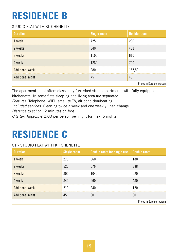## **RESIDENCE B**

#### STUDIO FLAT WITH KITCHENETTE

| <b>Duration</b>        | Single room  | Double room                      |
|------------------------|--------------|----------------------------------|
| 1 week                 | 425          | 260                              |
| 2 weeks                | 840          | 481                              |
| 3 weeks                | 1100         | 610                              |
| 4 weeks                | 1280         | 700                              |
| <b>Additional week</b> | 280          | 157,50                           |
| Additional night       | $^{\prime}5$ | 48                               |
|                        |              | <b>Prices in Euro per percon</b> |

Prices in Euro per person

The apartment hotel offers classically furnished studio apartments with fully equipped kitchenette. In some flats sleeping and living area are separated.

*Features*: Telephone, WIFI, satellite TV, air condition/heating.

*Included services*: Cleaning twice a week and one weekly linen change.

*Distance to school*: 2 minutes on foot.

*City tax:* Approx.  $\epsilon$  2,00 per person per night for max. 5 nights.

### **RESIDENCE C**

#### C1 - STUDIO FLAT WITH KITCHENETTE

| <b>Duration</b>        | Single room | Double room for single use   Double room |                           |
|------------------------|-------------|------------------------------------------|---------------------------|
| 1 week                 | 270         | 360                                      | 180                       |
| 2 weeks                | 520         | 676                                      | 338                       |
| 3 weeks                | 800         | 1040                                     | 520                       |
| 4 weeks                | 840         | 960                                      | 480                       |
| <b>Additional week</b> | 210         | 240                                      | 120                       |
| Additional night       | 45          | 60                                       | 30                        |
|                        |             |                                          | Drigge in Euro por porcon |

Prices in Euro per person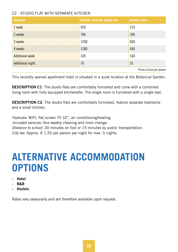#### C2 - STUDIO FLAT WITH SEPARATE KITCHEN

| <b>Duration</b>           | Double room for single use | Double room |
|---------------------------|----------------------------|-------------|
| 1 week                    | 420                        | 210         |
| 2 weeks                   | 780                        | 390         |
| 3 weeks                   | 1200                       | 600         |
| 4 weeks                   | 1280                       | 640         |
| <b>Additional week</b>    | 320                        | 160         |
| <b>Additional night</b>   | 70                         | 35          |
| Prices in Euro per person |                            |             |

This recently opened apartment hotel is situated in a quiet location at the Botanical Garden.

DESCRIPTION C1: The studio flats are comfortably furnished and come with a combined living room with fully equipped kitchenette. The single room is furnished with a single bed.

**DESCRIPTION C2:** The studio flats are comfortably furnished, feature separate bedrooms and a small kitchen.

*Features*: WIFI, flat screen TV 32'', air conditioning/heating. *Included services*: One weekly cleaning and linen change. *Distance to school*: 30 minutes on foot or 15 minutes by public transportation. *City tax:* Approx.  $\epsilon$  1,50 per person per night for max. 5 nights.

### **ALTERNATIVE ACCOMMODATION OPTIONS**

- ‐ Hotel
- ‐ B&B
- ‐ Hostels

Rates vary seasonally and are therefore available upon request.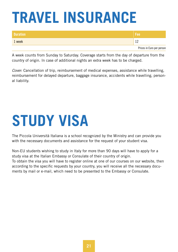# **TRAVEL INSURANCE**

| <b>Duration</b> | \Fee'                     |
|-----------------|---------------------------|
| 1 week          |                           |
|                 | Prices in Euro per person |

A week counts from Sunday to Saturday. Coverage starts from the day of departure from the country of origin. In case of additional nights an extra week has to be charged.

*Cover*: Cancellation of trip, reimbursement of medical expenses, assistance while travelling, reimbursement for delayed departure, baggage insurance, accidents while travelling, personal liability.

# **STUDY VISA**

The Piccola Università Italiana is a school recognized by the Ministry and can provide you with the necessary documents and assistance for the request of your student visa.

Non-EU students wishing to study in Italy for more than 90 days will have to apply for a study visa at the Italian Embassy or Consulate of their country of origin. To obtain the visa you will have to register online at one of our courses on our website, then according to the specific requests by your country, you will receive all the necessary documents by mail or e-mail, which need to be presented to the Embassy or Consulate.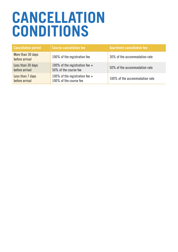## **CANCELLATION CONDITIONS**

| <b>Cancellation period</b>          | <b>Course cancellation fee</b>                             | Apartment cancellation fee     |
|-------------------------------------|------------------------------------------------------------|--------------------------------|
| More than 30 days<br>before arrival | 100% of the registration fee                               | 30% of the accommodation rate  |
| Less than 30 days<br>before arrival | 100% of the registration fee $+$<br>50% of the course fee  | 50% of the accommodation rate  |
| Less than 7 days<br>before arrival  | 100% of the registration fee $+$<br>100% of the course fee | 100% of the accommodation rate |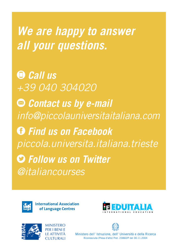*We are happy to answer all your questions.*

 *Call us +39 040 304020 Contact us by e-mail info@piccolauniversitaitaliana.com Find us on Facebook piccola.universita.italiana.trieste Follow us on Twitter @italiancourses*



**International Association** of Language Centres





Ministero dell' Istruzione, dell' Università e della Ricerca Riconosciuta (Presa d'atto) Prot. 23860/P del 30.11.2004